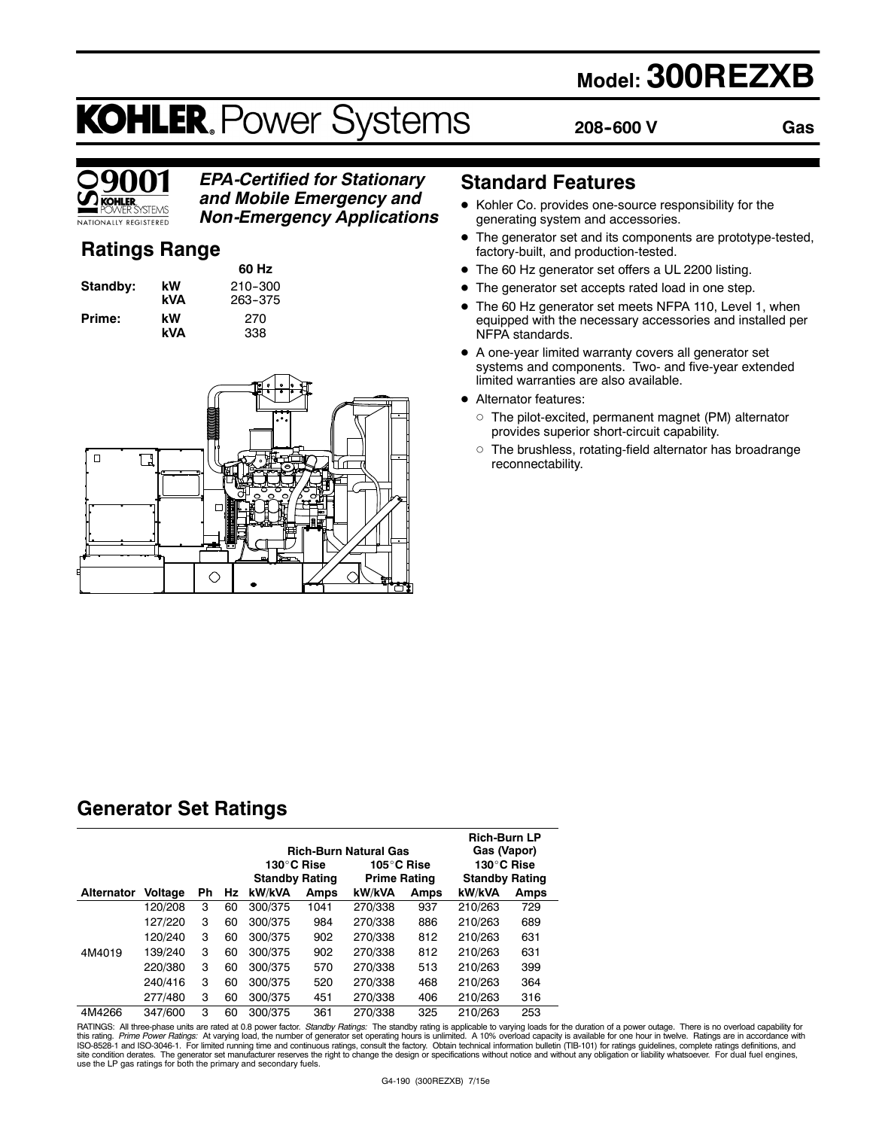## **Model: 300REZXB**

# **KOHLER. Power Systems**

**208--600 V**

**Gas**



### *EPA-Certified for Stationary and Mobile Emergency and*

*Non-Emergency Applications*

### **Ratings Range**

| Standby: | kW<br>kVA            |
|----------|----------------------|
| Prime:   | kW<br>. . <i>. .</i> |

**60 Hz Standby: kW** 210--300 **kVA** 263--375 **Prime: kW** 270 **kVA** 338



### **Standard Features**

- $\bullet$  Kohler Co. provides one-source responsibility for the generating system and accessories.
- $\bullet$  The generator set and its components are prototype-tested, factory-built, and production-tested.
- The 60 Hz generator set offers a UL 2200 listing.
- The generator set accepts rated load in one step.
- The 60 Hz generator set meets NFPA 110, Level 1, when equipped with the necessary accessories and installed per NFPA standards.
- A one-year limited warranty covers all generator set systems and components. Two- and five-year extended limited warranties are also available.
- Alternator features:
	- $\circ$  The pilot-excited, permanent magnet (PM) alternator provides superior short-circuit capability.
	- $\circ$  The brushless, rotating-field alternator has broadrange reconnectability.

### **Generator Set Ratings**

|                   |         |    |    | 130°C Rise<br><b>Standby Rating</b> |      | <b>Rich-Burn Natural Gas</b><br>105°C Rise<br><b>Prime Rating</b> |      | <b>Rich-Burn LP</b><br>Gas (Vapor)<br>130°C Rise<br><b>Standby Rating</b> |      |
|-------------------|---------|----|----|-------------------------------------|------|-------------------------------------------------------------------|------|---------------------------------------------------------------------------|------|
| <b>Alternator</b> | Voltage | Ph | Hz | kW/kVA                              | Amps | kW/kVA                                                            | Amps | kW/kVA                                                                    | Amps |
|                   | 120/208 | 3  | 60 | 300/375                             | 1041 | 270/338                                                           | 937  | 210/263                                                                   | 729  |
|                   | 127/220 | 3  | 60 | 300/375                             | 984  | 270/338                                                           | 886  | 210/263                                                                   | 689  |
|                   | 120/240 | 3  | 60 | 300/375                             | 902  | 270/338                                                           | 812  | 210/263                                                                   | 631  |
| 4M4019            | 139/240 | 3  | 60 | 300/375                             | 902  | 270/338                                                           | 812  | 210/263                                                                   | 631  |
|                   | 220/380 | 3  | 60 | 300/375                             | 570  | 270/338                                                           | 513  | 210/263                                                                   | 399  |
|                   | 240/416 | 3  | 60 | 300/375                             | 520  | 270/338                                                           | 468  | 210/263                                                                   | 364  |
|                   | 277/480 | 3  | 60 | 300/375                             | 451  | 270/338                                                           | 406  | 210/263                                                                   | 316  |
| 4M4266            | 347/600 | 3  | 60 | 300/375                             | 361  | 270/338                                                           | 325  | 210/263                                                                   | 253  |

RATINGS: All three-phase units are rated at 0.8 power factor. *Standby Ratings*: The standby rating is applicable to varying loads for the duration of a power outage. There is no overload capability for<br>this rating. *Prime* use the LP gas ratings for both the primary and secondary fuels.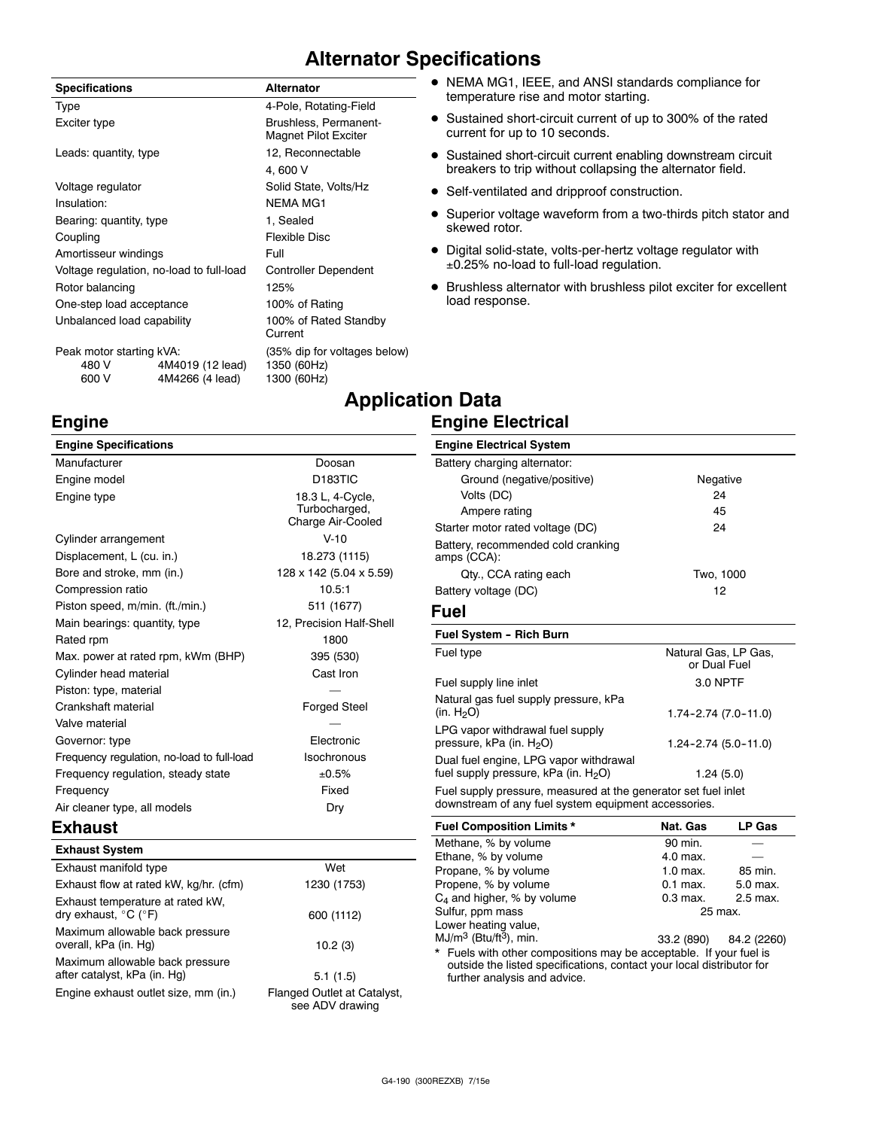### **Alternator Specifications**

| <b>Specifications</b>                      |                                     | <b>Alternator</b>                                          |
|--------------------------------------------|-------------------------------------|------------------------------------------------------------|
| Type                                       |                                     | 4-Pole, Rotating-Field                                     |
| Exciter type                               |                                     | Brushless, Permanent-<br><b>Magnet Pilot Exciter</b>       |
| Leads: quantity, type                      |                                     | 12, Reconnectable                                          |
|                                            |                                     | 4,600 V                                                    |
| Voltage regulator                          |                                     | Solid State, Volts/Hz                                      |
| Insulation:                                |                                     | <b>NEMA MG1</b>                                            |
| Bearing: quantity, type                    |                                     | 1, Sealed                                                  |
| Coupling                                   |                                     | <b>Flexible Disc</b>                                       |
| Amortisseur windings                       |                                     | Full                                                       |
| Voltage regulation, no-load to full-load   |                                     | <b>Controller Dependent</b>                                |
| Rotor balancing                            |                                     | 125%                                                       |
| One-step load acceptance                   |                                     | 100% of Rating                                             |
| Unbalanced load capability                 |                                     | 100% of Rated Standby<br>Current                           |
| Peak motor starting kVA:<br>480 V<br>600 V | 4M4019 (12 lead)<br>4M4266 (4 lead) | (35% dip for voltages below)<br>1350 (60Hz)<br>1300 (60Hz) |
|                                            |                                     | Annlir:                                                    |

### **Engine**

| <b>Engine Specifications</b>               |                                                        |
|--------------------------------------------|--------------------------------------------------------|
| Manufacturer                               | Doosan                                                 |
| Engine model                               | D <sub>183</sub> TIC                                   |
| Engine type                                | 18.3 L, 4-Cycle,<br>Turbocharged,<br>Charge Air-Cooled |
| Cylinder arrangement                       | $V - 10$                                               |
| Displacement, L (cu. in.)                  | 18.273 (1115)                                          |
| Bore and stroke, mm (in.)                  | 128 x 142 (5.04 x 5.59)                                |
| Compression ratio                          | 10.5:1                                                 |
| Piston speed, m/min. (ft./min.)            | 511 (1677)                                             |
| Main bearings: quantity, type              | 12, Precision Half-Shell                               |
| Rated rpm                                  | 1800                                                   |
| Max. power at rated rpm, kWm (BHP)         | 395 (530)                                              |
| Cylinder head material                     | Cast Iron                                              |
| Piston: type, material                     |                                                        |
| Crankshaft material                        | <b>Forged Steel</b>                                    |
| Valve material                             |                                                        |
| Governor: type                             | Electronic                                             |
| Frequency regulation, no-load to full-load | Isochronous                                            |
| Frequency regulation, steady state         | ±0.5%                                                  |
| Frequency                                  | Fixed                                                  |
| Air cleaner type, all models               | Dry                                                    |

### **Exhaust**

| <b>Exhaust System</b>                                                         |                                                |
|-------------------------------------------------------------------------------|------------------------------------------------|
| Exhaust manifold type                                                         | Wet                                            |
| Exhaust flow at rated kW, kg/hr. (cfm)                                        | 1230 (1753)                                    |
| Exhaust temperature at rated kW,<br>dry exhaust, $^{\circ}$ C ( $^{\circ}$ F) | 600 (1112)                                     |
| Maximum allowable back pressure<br>overall, kPa (in. Hg)                      | 10.2(3)                                        |
| Maximum allowable back pressure<br>after catalyst, kPa (in. Hg)               | 5.1(1.5)                                       |
| Engine exhaust outlet size, mm (in.)                                          | Flanged Outlet at Catalyst,<br>see ADV drawing |

- NEMA MG1, IEEE, and ANSI standards compliance for temperature rise and motor starting.
- Sustained short-circuit current of up to 300% of the rated current for up to 10 seconds.
- Sustained short-circuit current enabling downstream circuit breakers to trip without collapsing the alternator field.
- Self-ventilated and dripproof construction.
- Superior voltage waveform from a two-thirds pitch stator and skewed rotor.
- Digital solid-state, volts-per-hertz voltage regulator with 0.25% no-load to full-load regulation.
- $\bullet$  Brushless alternator with brushless pilot exciter for excellent load response.

### **Application Data Engine Electrical**

#### **Engine Electrical System** Battery charging alternator: Ground (negative/positive) Negative Volts (DC) 24 Ampere rating 45 Starter motor rated voltage (DC) 24 Battery, recommended cold cranking amps (CCA): Qty., CCA rating each Two, 1000 Battery voltage (DC) 12 **Fuel Fuel System - Rich Burn** Fuel type **Natural Gas, LP Gas,** Natural Gas, LP Gas, or Dual Fuel Fuel supply line inlet 3.0 NPTF Natural gas fuel supply pressure, kPa  $(in. H<sub>2</sub>O)$  1.74-2.74 (7.0-11.0) LPG vapor withdrawal fuel supply pressure, kPa (in.  $H<sub>2</sub>O$ ) 1.24-2.74 (5.0-11.0) Dual fuel engine, LPG vapor withdrawal fuel supply pressure,  $kPa$  (in.  $H<sub>2</sub>O$ ) 1.24 (5.0) Fuel supply pressure, measured at the generator set fuel inlet downstream of any fuel system equipment accessories.

| <b>Fuel Composition Limits *</b>                                                                                                                                            | Nat. Gas   | LP Gas                 |  |
|-----------------------------------------------------------------------------------------------------------------------------------------------------------------------------|------------|------------------------|--|
| Methane, % by volume                                                                                                                                                        | 90 min.    |                        |  |
| Ethane, % by volume                                                                                                                                                         | 4.0 max.   |                        |  |
| Propane, % by volume                                                                                                                                                        | $1.0$ max. | 85 min.                |  |
| Propene, % by volume                                                                                                                                                        | $0.1$ max. | 5.0 max.               |  |
| $C_4$ and higher, % by volume                                                                                                                                               | $0.3$ max. | 2.5 max.               |  |
| Sulfur, ppm mass                                                                                                                                                            | 25 max.    |                        |  |
| Lower heating value,                                                                                                                                                        |            |                        |  |
| $MJ/m3$ (Btu/ft <sup>3</sup> ), min.                                                                                                                                        |            | 33.2 (890) 84.2 (2260) |  |
| * Fuels with other compositions may be acceptable. If your fuel is<br>outside the listed specifications, contact your local distributor for<br>further analysis and advice. |            |                        |  |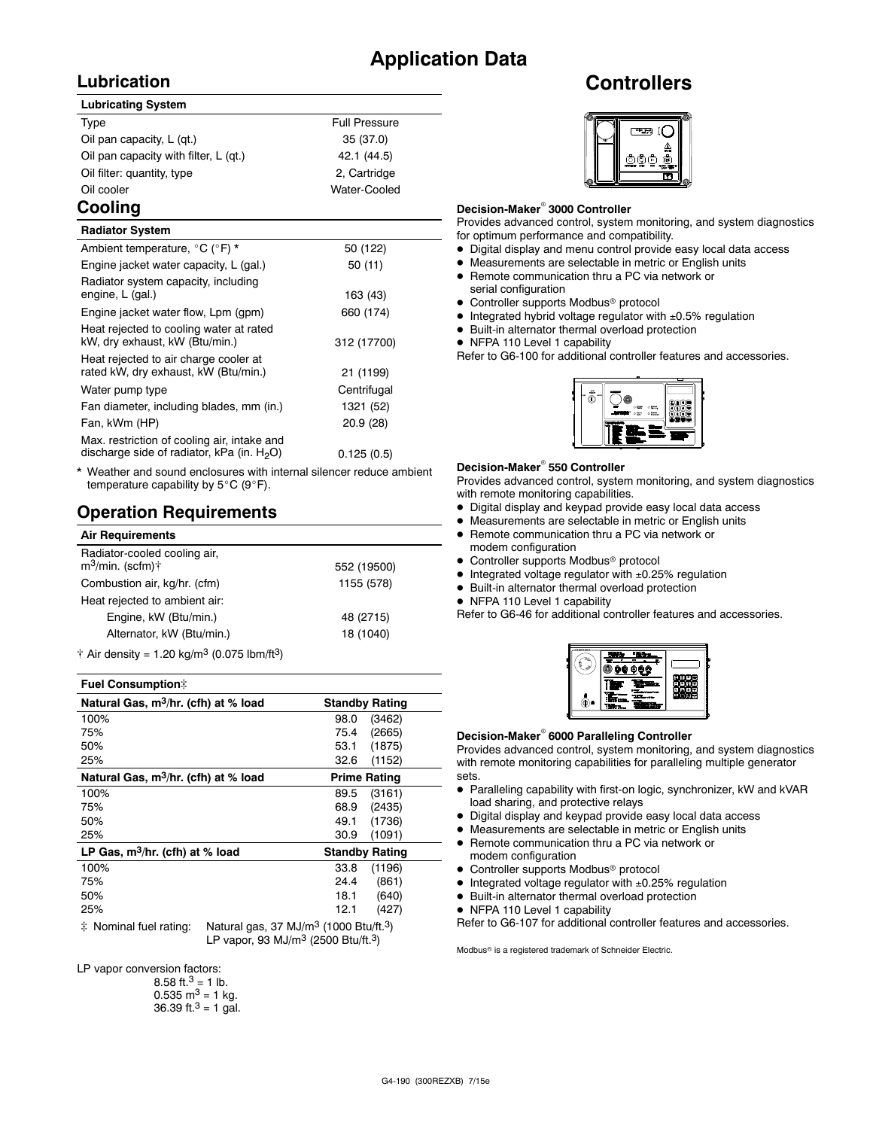### **Application Data**

### **Lubrication**

#### **Lubricating System**

| Type                                  | <b>Full Pressure</b> |
|---------------------------------------|----------------------|
| Oil pan capacity, L (qt.)             | 35 (37.0)            |
| Oil pan capacity with filter, L (qt.) | 42.1 (44.5)          |
| Oil filter: quantity, type            | 2, Cartridge         |
| Oil cooler                            | Water-Cooled         |
|                                       |                      |

### **Cooling**

| <b>Radiator System</b>                                                                       |             |
|----------------------------------------------------------------------------------------------|-------------|
| Ambient temperature, °C (°F) *                                                               | 50 (122)    |
| Engine jacket water capacity, L (gal.)                                                       | 50 (11)     |
| Radiator system capacity, including<br>engine, L (gal.)                                      | 163 (43)    |
| Engine jacket water flow, Lpm (gpm)                                                          | 660 (174)   |
| Heat rejected to cooling water at rated<br>kW, dry exhaust, kW (Btu/min.)                    | 312 (17700) |
| Heat rejected to air charge cooler at<br>rated kW, dry exhaust, kW (Btu/min.)                | 21 (1199)   |
| Water pump type                                                                              | Centrifugal |
| Fan diameter, including blades, mm (in.)                                                     | 1321 (52)   |
| Fan, kWm (HP)                                                                                | 20.9 (28)   |
| Max. restriction of cooling air, intake and<br>discharge side of radiator, kPa (in. $H_2O$ ) | 0.125(0.5)  |
|                                                                                              |             |

Weather and sound enclosures with internal silencer reduce ambient temperature capability by  $5^{\circ}$ C (9 $^{\circ}$ F).

### **Operation Requirements**

| <b>Air Requirements</b>                                      |             |
|--------------------------------------------------------------|-------------|
| Radiator-cooled cooling air,<br>$m^3$ /min. (scfm) $\dagger$ | 552 (19500) |
| Combustion air, kg/hr. (cfm)                                 | 1155 (578)  |
| Heat rejected to ambient air:                                |             |
| Engine, kW (Btu/min.)                                        | 48 (2715)   |
| Alternator, kW (Btu/min.)                                    | 18 (1040)   |
| $A = 0.5$ denote $A = 0.01$ and $A = 3$ (0.075 lbs. $(0.3)$  |             |

 $\dagger$  Air density = 1.20 kg/m<sup>3</sup> (0.075 lbm/ft<sup>3</sup>)

#### **Fuel Consumption**]

| Natural Gas, m <sup>3</sup> /hr. (cfh) at % load | <b>Standby Rating</b>         |
|--------------------------------------------------|-------------------------------|
| 100%                                             | 98.0<br>(3462)                |
| 75%                                              | (2665)<br>75.4                |
| 50%                                              | (1875)<br>53.1                |
| 25%                                              | 32.6<br>(1152)                |
| Natural Gas, m <sup>3</sup> /hr. (cfh) at % load | <b>Prime Rating</b>           |
| 100%                                             | 89.5<br>(3161)                |
| 75%                                              | (2435)<br>68.9                |
| 50%                                              | (1736)<br>49.1                |
| 25%                                              | 30.9<br>(1091)                |
| LP Gas, $m^3/hr$ . (cfh) at % load               | <b>Standby Rating</b>         |
| 100%                                             | (1196)<br>33.8                |
| 75%                                              | (861)<br>24.4                 |
| 50%                                              | 18.1<br>(640)                 |
| 25%                                              | (427)<br>12.1                 |
| .<br>$\sim$ $\sim$                               | <b>0 .</b> .<br>$\sim$ $\sim$ |

 $\ddagger$  Nominal fuel rating: Natural gas, 37 MJ/m<sup>3</sup> (1000 Btu/ft.<sup>3</sup>) LP vapor, 93 MJ/ $m^3$  (2500 Btu/ft.<sup>3</sup>)

LP vapor conversion factors:

| 8.58 ft. <sup>3</sup> = 1 lb.        |
|--------------------------------------|
| $0.535 \text{ m}^3 = 1 \text{ kg}$ . |
| 36.39 ft. $3 = 1$ gal.               |

### **Controllers**



#### **Decision-Maker<sup>®</sup> 3000 Controller**

Provides advanced control, system monitoring, and system diagnostics for optimum performance and compatibility.

- $\bullet$  Digital display and menu control provide easy local data access
- $\bullet$  Measurements are selectable in metric or English units
- Remote communication thru a PC via network or
- serial configuration • Controller supports Modbus<sup>®</sup> protocol
- $\bullet$  Integrated hybrid voltage regulator with  $\pm 0.5\%$  regulation
- $\bullet$  Built-in alternator thermal overload protection
- NFPA 110 Level 1 capability

Refer to G6-100 for additional controller features and accessories.



#### **Decision-Maker<sup>®</sup> 550 Controller**

Provides advanced control, system monitoring, and system diagnostics with remote monitoring capabilities.

- $\bullet$  Digital display and keypad provide easy local data access
- $\bullet$  Measurements are selectable in metric or English units
- Remote communication thru a PC via network or
- modem configuration  $\bullet$  Controller supports Modbus<sup>®</sup> protocol
- 
- $\bullet$  Integrated voltage regulator with  $\pm 0.25\%$  regulation
- $\bullet$  Built-in alternator thermal overload protection
- NFPA 110 Level 1 capability

Refer to G6-46 for additional controller features and accessories.



#### **Decision-Maker<sup>®</sup> 6000 Paralleling Controller**

Provides advanced control, system monitoring, and system diagnostics with remote monitoring capabilities for paralleling multiple generator sets.

- Paralleling capability with first-on logic, synchronizer, kW and kVAR load sharing, and protective relays
- $\bullet$  Digital display and keypad provide easy local data access
- $\bullet$  Measurements are selectable in metric or English units
- Remote communication thru a PC via network or modem configuration
- $\bullet$  Controller supports Modbus<sup>®</sup> protocol
- $\bullet$  Integrated voltage regulator with  $\pm 0.25\%$  regulation
- $\bullet$  Built-in alternator thermal overload protection
- NFPA 110 Level 1 capability

Refer to G6-107 for additional controller features and accessories.

Modbus<sup>®</sup> is a registered trademark of Schneider Electric.